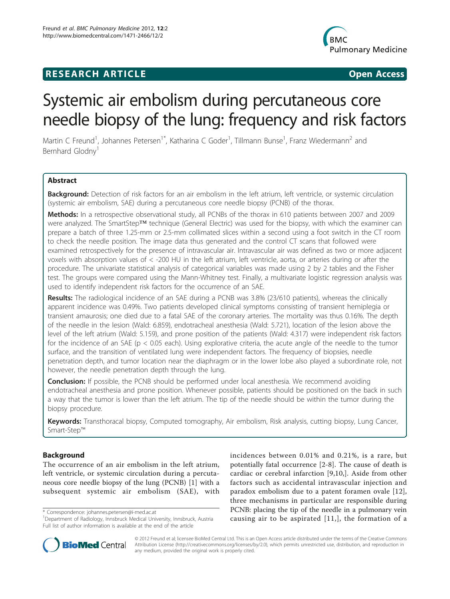## **RESEARCH ARTICLE Example 2018 12:00 Open Access**



# Systemic air embolism during percutaneous core needle biopsy of the lung: frequency and risk factors

Martin C Freund<sup>1</sup>, Johannes Petersen<sup>1\*</sup>, Katharina C Goder<sup>1</sup>, Tillmann Bunse<sup>1</sup>, Franz Wiedermann<sup>2</sup> and Bernhard Glodnv<sup>1</sup>

## Abstract

Background: Detection of risk factors for an air embolism in the left atrium, left ventricle, or systemic circulation (systemic air embolism, SAE) during a percutaneous core needle biopsy (PCNB) of the thorax.

Methods: In a retrospective observational study, all PCNBs of the thorax in 610 patients between 2007 and 2009 were analyzed. The SmartStep™ technique (General Electric) was used for the biopsy, with which the examiner can prepare a batch of three 1.25-mm or 2.5-mm collimated slices within a second using a foot switch in the CT room to check the needle position. The image data thus generated and the control CT scans that followed were examined retrospectively for the presence of intravascular air. Intravascular air was defined as two or more adjacent voxels with absorption values of < -200 HU in the left atrium, left ventricle, aorta, or arteries during or after the procedure. The univariate statistical analysis of categorical variables was made using 2 by 2 tables and the Fisher test. The groups were compared using the Mann-Whitney test. Finally, a multivariate logistic regression analysis was used to identify independent risk factors for the occurrence of an SAE.

Results: The radiological incidence of an SAE during a PCNB was 3.8% (23/610 patients), whereas the clinically apparent incidence was 0.49%. Two patients developed clinical symptoms consisting of transient hemiplegia or transient amaurosis; one died due to a fatal SAE of the coronary arteries. The mortality was thus 0.16%. The depth of the needle in the lesion (Wald: 6.859), endotracheal anesthesia (Wald: 5.721), location of the lesion above the level of the left atrium (Wald: 5.159), and prone position of the patients (Wald: 4.317) were independent risk factors for the incidence of an SAE (p < 0.05 each). Using explorative criteria, the acute angle of the needle to the tumor surface, and the transition of ventilated lung were independent factors. The frequency of biopsies, needle penetration depth, and tumor location near the diaphragm or in the lower lobe also played a subordinate role, not however, the needle penetration depth through the lung.

**Conclusion:** If possible, the PCNB should be performed under local anesthesia. We recommend avoiding endotracheal anesthesia and prone position. Whenever possible, patients should be positioned on the back in such a way that the tumor is lower than the left atrium. The tip of the needle should be within the tumor during the biopsy procedure.

Keywords: Transthoracal biopsy, Computed tomography, Air embolism, Risk analysis, cutting biopsy, Lung Cancer, Smart-Step™

## Background

The occurrence of an air embolism in the left atrium, left ventricle, or systemic circulation during a percutaneous core needle biopsy of the lung (PCNB) [\[1](#page-10-0)] with a subsequent systemic air embolism (SAE), with

\* Correspondence: [johannes.petersen@i-med.ac.at](mailto:johannes.petersen@i-med.ac.at)

incidences between 0.01% and 0.21%, is a rare, but potentially fatal occurrence [[2-8](#page-10-0)]. The cause of death is cardiac or cerebral infarction [\[9](#page-10-0),[10,](#page-10-0)]. Aside from other factors such as accidental intravascular injection and paradox embolism due to a patent foramen ovale [[12](#page-10-0)], three mechanisms in particular are responsible during PCNB: placing the tip of the needle in a pulmonary vein causing air to be aspirated [[11](#page-10-0),], the formation of a



© 2012 Freund et al; licensee BioMed Central Ltd. This is an Open Access article distributed under the terms of the Creative Commons Attribution License [\(http://creativecommons.org/licenses/by/2.0](http://creativecommons.org/licenses/by/2.0)), which permits unrestricted use, distribution, and reproduction in any medium, provided the original work is properly cited.

<sup>&</sup>lt;sup>1</sup>Department of Radiology, Innsbruck Medical University, Innsbruck, Austria Full list of author information is available at the end of the article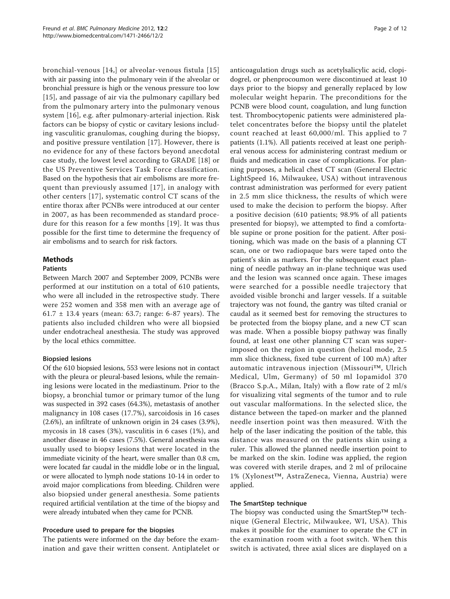bronchial-venous [[14,](#page-10-0)] or alveolar-venous fistula [[15](#page-10-0)] with air passing into the pulmonary vein if the alveolar or bronchial pressure is high or the venous pressure too low [[15](#page-10-0)], and passage of air via the pulmonary capillary bed from the pulmonary artery into the pulmonary venous system [\[16](#page-10-0)], e.g. after pulmonary-arterial injection. Risk factors can be biopsy of cystic or cavitary lesions including vasculitic granulomas, coughing during the biopsy, and positive pressure ventilation [[17\]](#page-10-0). However, there is no evidence for any of these factors beyond anecdotal case study, the lowest level according to GRADE [[18\]](#page-10-0) or the US Preventive Services Task Force classification. Based on the hypothesis that air embolisms are more frequent than previously assumed [[17\]](#page-10-0), in analogy with other centers [[17\]](#page-10-0), systematic control CT scans of the entire thorax after PCNBs were introduced at our center in 2007, as has been recommended as standard procedure for this reason for a few months [\[19\]](#page-10-0). It was thus possible for the first time to determine the frequency of air embolisms and to search for risk factors.

## Methods

#### **Patients**

Between March 2007 and September 2009, PCNBs were performed at our institution on a total of 610 patients, who were all included in the retrospective study. There were 252 women and 358 men with an average age of 61.7 ± 13.4 years (mean: 63.7; range: 6-87 years). The patients also included children who were all biopsied under endotracheal anesthesia. The study was approved by the local ethics committee.

## Biopsied lesions

Of the 610 biopsied lesions, 553 were lesions not in contact with the pleura or pleural-based lesions, while the remaining lesions were located in the mediastinum. Prior to the biopsy, a bronchial tumor or primary tumor of the lung was suspected in 392 cases (64.3%), metastasis of another malignancy in 108 cases (17.7%), sarcoidosis in 16 cases (2.6%), an infiltrate of unknown origin in 24 cases (3.9%), mycosis in 18 cases (3%), vasculitis in 6 cases (1%), and another disease in 46 cases (7.5%). General anesthesia was usually used to biopsy lesions that were located in the immediate vicinity of the heart, were smaller than 0.8 cm, were located far caudal in the middle lobe or in the lingual, or were allocated to lymph node stations 10-14 in order to avoid major complications from bleeding. Children were also biopsied under general anesthesia. Some patients required artificial ventilation at the time of the biopsy and were already intubated when they came for PCNB.

## Procedure used to prepare for the biopsies

The patients were informed on the day before the examination and gave their written consent. Antiplatelet or anticoagulation drugs such as acetylsalicylic acid, clopidogrel, or phenprocoumon were discontinued at least 10 days prior to the biopsy and generally replaced by low molecular weight heparin. The preconditions for the PCNB were blood count, coagulation, and lung function test. Thrombocytopenic patients were administered platelet concentrates before the biopsy until the platelet count reached at least 60,000/ml. This applied to 7 patients (1.1%). All patients received at least one peripheral venous access for administering contrast medium or fluids and medication in case of complications. For planning purposes, a helical chest CT scan (General Electric LightSpeed 16, Milwaukee, USA) without intravenous contrast administration was performed for every patient in 2.5 mm slice thickness, the results of which were used to make the decision to perform the biopsy. After a positive decision (610 patients; 98.9% of all patients presented for biopsy), we attempted to find a comfortable supine or prone position for the patient. After positioning, which was made on the basis of a planning CT scan, one or two radiopaque bars were taped onto the patient's skin as markers. For the subsequent exact planning of needle pathway an in-plane technique was used and the lesion was scanned once again. These images were searched for a possible needle trajectory that avoided visible bronchi and larger vessels. If a suitable trajectory was not found, the gantry was tilted cranial or caudal as it seemed best for removing the structures to be protected from the biopsy plane, and a new CT scan was made. When a possible biopsy pathway was finally found, at least one other planning CT scan was superimposed on the region in question (helical mode, 2.5 mm slice thickness, fixed tube current of 100 mA) after automatic intravenous injection (Missouri™, Ulrich Medical, Ulm, Germany) of 50 ml Iopamidol 370 (Bracco S.p.A., Milan, Italy) with a flow rate of 2 ml/s for visualizing vital segments of the tumor and to rule out vascular malformations. In the selected slice, the distance between the taped-on marker and the planned needle insertion point was then measured. With the help of the laser indicating the position of the table, this distance was measured on the patients skin using a ruler. This allowed the planned needle insertion point to be marked on the skin. Iodine was applied, the region was covered with sterile drapes, and 2 ml of prilocaine 1% (Xylonest™, AstraZeneca, Vienna, Austria) were applied.

#### The SmartStep technique

The biopsy was conducted using the SmartStep™ technique (General Electric, Milwaukee, WI, USA). This makes it possible for the examiner to operate the CT in the examination room with a foot switch. When this switch is activated, three axial slices are displayed on a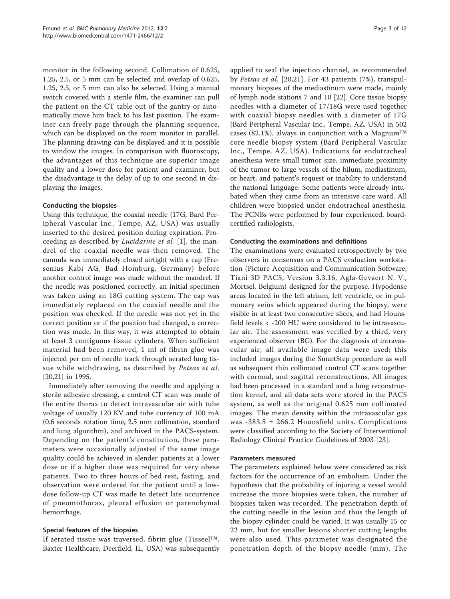monitor in the following second. Collimation of 0.625, 1.25, 2.5, or 5 mm can be selected and overlap of 0.625, 1.25, 2.5, or 5 mm can also be selected. Using a manual switch covered with a sterile film, the examiner can pull the patient on the CT table out of the gantry or automatically move him back to his last position. The examiner can freely page through the planning sequence, which can be displayed on the room monitor in parallel. The planning drawing can be displayed and it is possible to window the images. In comparison with fluoroscopy, the advantages of this technique are superior image quality and a lower dose for patient and examiner, but the disadvantage is the delay of up to one second in displaying the images.

#### Conducting the biopsies

Using this technique, the coaxial needle (17G, Bard Peripheral Vascular Inc., Tempe, AZ, USA) was usually inserted to the desired position during expiration. Proceeding as described by Lucidarme et al. [[1\]](#page-10-0), the mandrel of the coaxial needle was then removed. The cannula was immediately closed airtight with a cap (Fresenius Kabi AG, Bad Homburg, Germany) before another control image was made without the mandrel. If the needle was positioned correctly, an initial specimen was taken using an 18G cutting system. The cap was immediately replaced on the coaxial needle and the position was checked. If the needle was not yet in the correct position or if the position had changed, a correction was made. In this way, it was attempted to obtain at least 3 contiguous tissue cylinders. When sufficient material had been removed, 1 ml of fibrin glue was injected per cm of needle track through aerated lung tissue while withdrawing, as described by Petsas et al. [[20,21\]](#page-10-0) in 1995.

Immediately after removing the needle and applying a sterile adhesive dressing, a control CT scan was made of the entire thorax to detect intravascular air with tube voltage of usually 120 KV and tube currency of 100 mA (0.6 seconds rotation time, 2.5 mm collimation, standard and lung algorithm), and archived in the PACS-system. Depending on the patient's constitution, these parameters were occasionally adjusted if the same image quality could be achieved in slender patients at a lower dose or if a higher dose was required for very obese patients. Two to three hours of bed rest, fasting, and observation were ordered for the patient until a lowdose follow-up CT was made to detect late occurrence of pneumothorax, pleural effusion or parenchymal hemorrhage.

#### Special features of the biopsies

If aerated tissue was traversed, fibrin glue (Tisseel™, Baxter Healthcare, Deerfield, IL, USA) was subsequently applied to seal the injection channel, as recommended by Petsas et al. [[20,21](#page-10-0)]. For 43 patients (7%), transpulmonary biopsies of the mediastinum were made, mainly of lymph node stations 7 and 10 [\[22\]](#page-10-0). Core tissue biopsy needles with a diameter of 17/18G were used together with coaxial biopsy needles with a diameter of 17G (Bard Peripheral Vascular Inc., Tempe, AZ, USA) in 502 cases (82.1%), always in conjunction with a Magnum<sup>™</sup> core needle biopsy system (Bard Peripheral Vascular Inc., Tempe, AZ, USA). Indications for endotracheal anesthesia were small tumor size, immediate proximity of the tumor to large vessels of the hilum, mediastinum, or heart, and patient's request or inability to understand the national language. Some patients were already intubated when they came from an intensive care ward. All children were biopsied under endotracheal anesthesia. The PCNBs were performed by four experienced, boardcertified radiologists.

#### Conducting the examinations and definitions

The examinations were evaluated retrospectively by two observers in consensus on a PACS evaluation workstation (Picture Acquisition and Communication Software; Tiani 3D PACS, Version 3.3.16, Agfa-Gevaert N. V., Mortsel, Belgium) designed for the purpose. Hypodense areas located in the left atrium, left ventricle, or in pulmonary veins which appeared during the biopsy, were visible in at least two consecutive slices, and had Hounsfield levels < -200 HU were considered to be intravascular air. The assessment was verified by a third, very experienced observer (BG). For the diagnosis of intravascular air, all available image data were used; this included images during the SmartStep procedure as well as subsequent thin collimated control CT scans together with coronal, and sagittal reconstructions. All images had been processed in a standard and a lung reconstruction kernel, and all data sets were stored in the PACS system, as well as the original 0.625 mm collimated images. The mean density within the intravascular gas was -383.5 ± 266.2 Hounsfield units. Complications were classified according to the Society of Interventional Radiology Clinical Practice Guidelines of 2003 [\[23\]](#page-10-0).

#### Parameters measured

The parameters explained below were considered as risk factors for the occurrence of an embolism. Under the hypothesis that the probability of injuring a vessel would increase the more biopsies were taken, the number of biopsies taken was recorded. The penetration depth of the cutting needle in the lesion and thus the length of the biopsy cylinder could be varied. It was usually 15 or 22 mm, but for smaller lesions shorter cutting lengths were also used. This parameter was designated the penetration depth of the biopsy needle (mm). The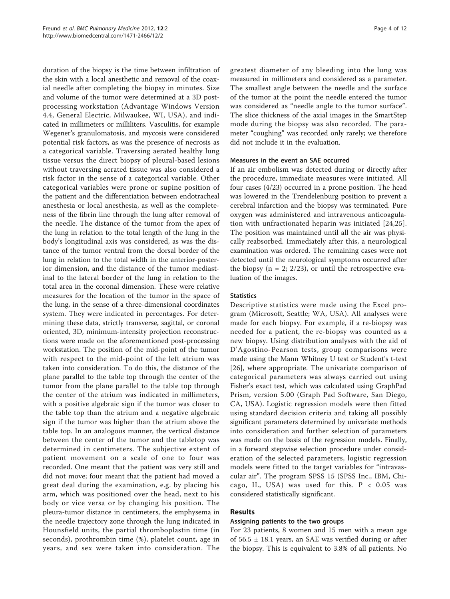duration of the biopsy is the time between infiltration of the skin with a local anesthetic and removal of the coaxial needle after completing the biopsy in minutes. Size and volume of the tumor were determined at a 3D postprocessing workstation (Advantage Windows Version 4.4, General Electric, Milwaukee, WI, USA), and indicated in millimeters or milliliters. Vasculitis, for example Wegener's granulomatosis, and mycosis were considered potential risk factors, as was the presence of necrosis as a categorical variable. Traversing aerated healthy lung tissue versus the direct biopsy of pleural-based lesions without traversing aerated tissue was also considered a risk factor in the sense of a categorical variable. Other categorical variables were prone or supine position of the patient and the differentiation between endotracheal anesthesia or local anesthesia, as well as the completeness of the fibrin line through the lung after removal of the needle. The distance of the tumor from the apex of the lung in relation to the total length of the lung in the body's longitudinal axis was considered, as was the distance of the tumor ventral from the dorsal border of the lung in relation to the total width in the anterior-posterior dimension, and the distance of the tumor mediastinal to the lateral border of the lung in relation to the total area in the coronal dimension. These were relative measures for the location of the tumor in the space of the lung, in the sense of a three-dimensional coordinates system. They were indicated in percentages. For determining these data, strictly transverse, sagittal, or coronal oriented, 3D, minimum-intensity projection reconstructions were made on the aforementioned post-processing workstation. The position of the mid-point of the tumor with respect to the mid-point of the left atrium was taken into consideration. To do this, the distance of the plane parallel to the table top through the center of the tumor from the plane parallel to the table top through the center of the atrium was indicated in millimeters, with a positive algebraic sign if the tumor was closer to the table top than the atrium and a negative algebraic sign if the tumor was higher than the atrium above the table top. In an analogous manner, the vertical distance between the center of the tumor and the tabletop was determined in centimeters. The subjective extent of patient movement on a scale of one to four was recorded. One meant that the patient was very still and did not move; four meant that the patient had moved a great deal during the examination, e.g. by placing his arm, which was positioned over the head, next to his body or vice versa or by changing his position. The pleura-tumor distance in centimeters, the emphysema in the needle trajectory zone through the lung indicated in Hounsfield units, the partial thromboplastin time (in seconds), prothrombin time (%), platelet count, age in years, and sex were taken into consideration. The

greatest diameter of any bleeding into the lung was measured in millimeters and considered as a parameter. The smallest angle between the needle and the surface of the tumor at the point the needle entered the tumor was considered as "needle angle to the tumor surface". The slice thickness of the axial images in the SmartStep mode during the biopsy was also recorded. The parameter "coughing" was recorded only rarely; we therefore did not include it in the evaluation.

#### Measures in the event an SAE occurred

If an air embolism was detected during or directly after the procedure, immediate measures were initiated. All four cases (4/23) occurred in a prone position. The head was lowered in the Trendelenburg position to prevent a cerebral infarction and the biopsy was terminated. Pure oxygen was administered and intravenous anticoagulation with unfractionated heparin was initiated [\[24](#page-10-0),[25](#page-10-0)]. The position was maintained until all the air was physically reabsorbed. Immediately after this, a neurological examination was ordered. The remaining cases were not detected until the neurological symptoms occurred after the biopsy ( $n = 2$ ; 2/23), or until the retrospective evaluation of the images.

#### **Statistics**

Descriptive statistics were made using the Excel program (Microsoft, Seattle; WA, USA). All analyses were made for each biopsy. For example, if a re-biopsy was needed for a patient, the re-biopsy was counted as a new biopsy. Using distribution analyses with the aid of D'Agostino-Pearson tests, group comparisons were made using the Mann Whitney U test or Student's t-test [[26](#page-10-0)], where appropriate. The univariate comparison of categorical parameters was always carried out using Fisher's exact test, which was calculated using GraphPad Prism, version 5.00 (Graph Pad Software, San Diego, CA, USA). Logistic regression models were then fitted using standard decision criteria and taking all possibly significant parameters determined by univariate methods into consideration and further selection of parameters was made on the basis of the regression models. Finally, in a forward stepwise selection procedure under consideration of the selected parameters, logistic regression models were fitted to the target variables for "intravascular air". The program SPSS 15 (SPSS Inc., IBM, Chicago, IL, USA) was used for this.  $P < 0.05$  was considered statistically significant.

#### Results

#### Assigning patients to the two groups

For 23 patients, 8 women and 15 men with a mean age of  $56.5 \pm 18.1$  years, an SAE was verified during or after the biopsy. This is equivalent to 3.8% of all patients. No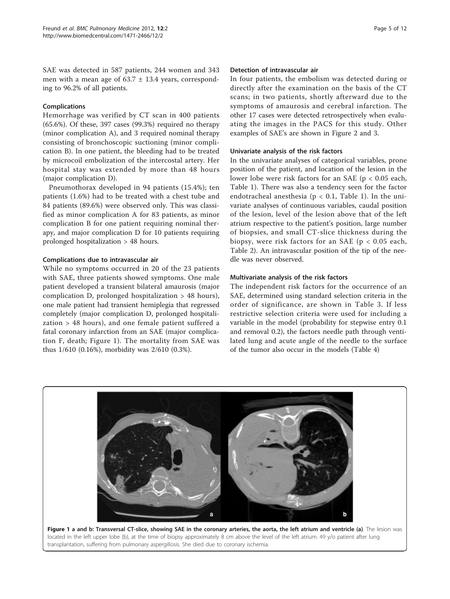SAE was detected in 587 patients, 244 women and 343 men with a mean age of  $63.7 \pm 13.4$  years, corresponding to 96.2% of all patients.

## Complications

Hemorrhage was verified by CT scan in 400 patients (65.6%). Of these, 397 cases (99.3%) required no therapy (minor complication A), and 3 required nominal therapy consisting of bronchoscopic suctioning (minor complication B). In one patient, the bleeding had to be treated by microcoil embolization of the intercostal artery. Her hospital stay was extended by more than 48 hours (major complication D).

Pneumothorax developed in 94 patients (15.4%); ten patients (1.6%) had to be treated with a chest tube and 84 patients (89.6%) were observed only. This was classified as minor complication A for 83 patients, as minor complication B for one patient requiring nominal therapy, and major complication D for 10 patients requiring prolonged hospitalization > 48 hours.

#### Complications due to intravascular air

While no symptoms occurred in 20 of the 23 patients with SAE, three patients showed symptoms. One male patient developed a transient bilateral amaurosis (major complication D, prolonged hospitalization > 48 hours), one male patient had transient hemiplegia that regressed completely (major complication D, prolonged hospitalization > 48 hours), and one female patient suffered a fatal coronary infarction from an SAE (major complication F, death; Figure 1). The mortality from SAE was thus 1/610 (0.16%), morbidity was 2/610 (0.3%).

#### Detection of intravascular air

In four patients, the embolism was detected during or directly after the examination on the basis of the CT scans; in two patients, shortly afterward due to the symptoms of amaurosis and cerebral infarction. The other 17 cases were detected retrospectively when evaluating the images in the PACS for this study. Other examples of SAE's are shown in Figure [2](#page-5-0) and [3.](#page-5-0)

#### Univariate analysis of the risk factors

In the univariate analyses of categorical variables, prone position of the patient, and location of the lesion in the lower lobe were risk factors for an SAE (p < 0.05 each, Table [1\)](#page-6-0). There was also a tendency seen for the factor endotracheal anesthesia ( $p < 0.1$ , Table [1](#page-6-0)). In the univariate analyses of continuous variables, caudal position of the lesion, level of the lesion above that of the left atrium respective to the patient's position, large number of biopsies, and small CT-slice thickness during the biopsy, were risk factors for an SAE ( $p < 0.05$  each, Table [2\)](#page-7-0). An intravascular position of the tip of the needle was never observed.

#### Multivariate analysis of the risk factors

The independent risk factors for the occurrence of an SAE, determined using standard selection criteria in the order of significance, are shown in Table [3.](#page-7-0) If less restrictive selection criteria were used for including a variable in the model (probability for stepwise entry 0.1 and removal 0.2), the factors needle path through ventilated lung and acute angle of the needle to the surface of the tumor also occur in the models (Table [4](#page-8-0))



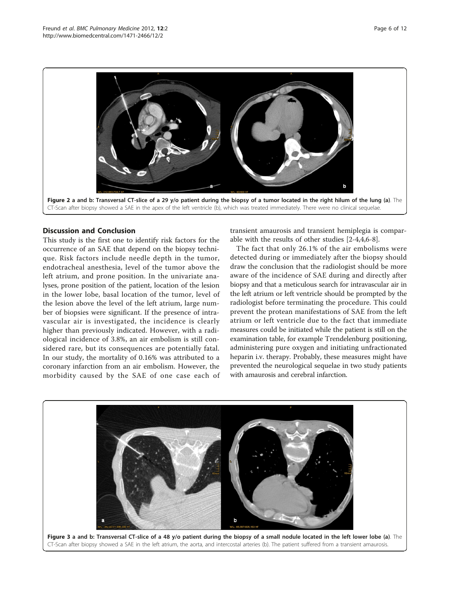

<span id="page-5-0"></span>

## Discussion and Conclusion

This study is the first one to identify risk factors for the occurrence of an SAE that depend on the biopsy technique. Risk factors include needle depth in the tumor, endotracheal anesthesia, level of the tumor above the left atrium, and prone position. In the univariate analyses, prone position of the patient, location of the lesion in the lower lobe, basal location of the tumor, level of the lesion above the level of the left atrium, large number of biopsies were significant. If the presence of intravascular air is investigated, the incidence is clearly higher than previously indicated. However, with a radiological incidence of 3.8%, an air embolism is still considered rare, but its consequences are potentially fatal. In our study, the mortality of 0.16% was attributed to a coronary infarction from an air embolism. However, the morbidity caused by the SAE of one case each of

transient amaurosis and transient hemiplegia is comparable with the results of other studies [[2-4,4,6](#page-10-0)-[8\]](#page-10-0).

The fact that only 26.1% of the air embolisms were detected during or immediately after the biopsy should draw the conclusion that the radiologist should be more aware of the incidence of SAE during and directly after biopsy and that a meticulous search for intravascular air in the left atrium or left ventricle should be prompted by the radiologist before terminating the procedure. This could prevent the protean manifestations of SAE from the left atrium or left ventricle due to the fact that immediate measures could be initiated while the patient is still on the examination table, for example Trendelenburg positioning, administering pure oxygen and initiating unfractionated heparin i.v. therapy. Probably, these measures might have prevented the neurological sequelae in two study patients with amaurosis and cerebral infarction.

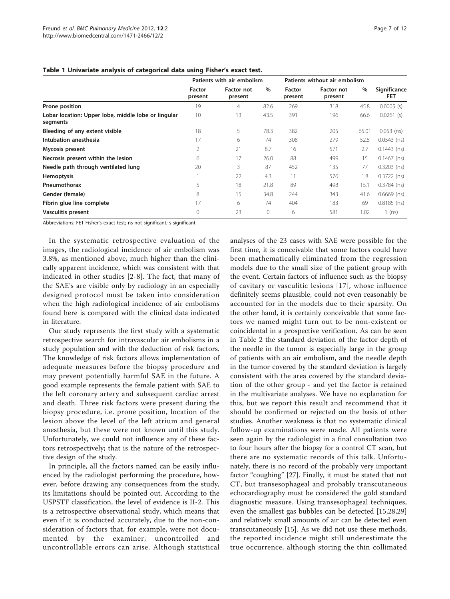|                                                                 |                   | Patients with air embolism   |              | Patients without air embolism |                              |       |                            |
|-----------------------------------------------------------------|-------------------|------------------------------|--------------|-------------------------------|------------------------------|-------|----------------------------|
|                                                                 | Factor<br>present | <b>Factor not</b><br>present | $\%$         | Factor<br>present             | <b>Factor not</b><br>present | %     | Significance<br><b>FET</b> |
| Prone position                                                  | 19                | 4                            | 82.6         | 269                           | 318                          | 45.8  | $0.0005$ (s)               |
| Lobar location: Upper lobe, middle lobe or lingular<br>segments | 10                | 13                           | 43.5         | 391                           | 196                          | 66.6  | $0.0261$ (s)               |
| Bleeding of any extent visible                                  | 18                | 5                            | 78.3         | 382                           | 205                          | 65.01 | $0.053$ (ns)               |
| Intubation anesthesia                                           | 17                | 6                            | 74           | 308                           | 279                          | 52.5  | $0.0543$ (ns)              |
| Mycosis present                                                 | 2                 | 21                           | 8.7          | 16                            | 571                          | 2.7   | $0.1443$ (ns)              |
| Necrosis present within the lesion                              | 6                 | 17                           | 26.0         | 88                            | 499                          | 15    | $0.1467$ (ns)              |
| Needle path through ventilated lung                             | 20                | 3                            | 87           | 452                           | 135                          | 77    | $0.3203$ (ns)              |
| <b>Hemoptysis</b>                                               |                   | 22                           | 4.3          | 11                            | 576                          | 1.8   | $0.3722$ (ns)              |
| Pneumothorax                                                    | 5                 | 18                           | 21.8         | 89                            | 498                          | 15.1  | $0.3784$ (ns)              |
| Gender (female)                                                 | 8                 | 15                           | 34.8         | 244                           | 343                          | 41.6  | $0.6669$ (ns)              |
| Fibrin glue line complete                                       | 17                | 6                            | 74           | 404                           | 183                          | 69    | $0.8185$ (ns)              |
| <b>Vasculitis present</b>                                       |                   | 23                           | $\mathbf{0}$ | 6                             | 581                          | 1.02  | $1$ (ns)                   |

#### <span id="page-6-0"></span>Table 1 Univariate analysis of categorical data using Fisher's exact test.

Abbreviations: FET-Fisher's exact test; ns-not significant; s-significant

In the systematic retrospective evaluation of the images, the radiological incidence of air embolism was 3.8%, as mentioned above, much higher than the clinically apparent incidence, which was consistent with that indicated in other studies [[2-8\]](#page-10-0). The fact, that many of the SAE's are visible only by radiology in an especially designed protocol must be taken into consideration when the high radiological incidence of air embolisms found here is compared with the clinical data indicated in literature.

Our study represents the first study with a systematic retrospective search for intravascular air embolisms in a study population and with the deduction of risk factors. The knowledge of risk factors allows implementation of adequate measures before the biopsy procedure and may prevent potentially harmful SAE in the future. A good example represents the female patient with SAE to the left coronary artery and subsequent cardiac arrest and death. Three risk factors were present during the biopsy procedure, i.e. prone position, location of the lesion above the level of the left atrium and general anesthesia, but these were not known until this study. Unfortunately, we could not influence any of these factors retrospectively; that is the nature of the retrospective design of the study.

In principle, all the factors named can be easily influenced by the radiologist performing the procedure, however, before drawing any consequences from the study, its limitations should be pointed out. According to the USPSTF classification, the level of evidence is II-2. This is a retrospective observational study, which means that even if it is conducted accurately, due to the non-consideration of factors that, for example, were not documented by the examiner, uncontrolled and uncontrollable errors can arise. Although statistical

analyses of the 23 cases with SAE were possible for the first time, it is conceivable that some factors could have been mathematically eliminated from the regression models due to the small size of the patient group with the event. Certain factors of influence such as the biopsy of cavitary or vasculitic lesions [\[17\]](#page-10-0), whose influence definitely seems plausible, could not even reasonably be accounted for in the models due to their sparsity. On the other hand, it is certainly conceivable that some factors we named might turn out to be non-existent or coincidental in a prospective verification. As can be seen in Table [2](#page-7-0) the standard deviation of the factor depth of the needle in the tumor is especially large in the group of patients with an air embolism, and the needle depth in the tumor covered by the standard deviation is largely consistent with the area covered by the standard deviation of the other group - and yet the factor is retained in the multivariate analyses. We have no explanation for this, but we report this result and recommend that it should be confirmed or rejected on the basis of other studies. Another weakness is that no systematic clinical follow-up examinations were made. All patients were seen again by the radiologist in a final consultation two to four hours after the biopsy for a control CT scan, but there are no systematic records of this talk. Unfortunately, there is no record of the probably very important factor "coughing" [\[27](#page-10-0)]. Finally, it must be stated that not CT, but transesophageal and probably transcutaneous echocardiography must be considered the gold standard diagnostic measure. Using transesophageal techniques, even the smallest gas bubbles can be detected [[15](#page-10-0),[28](#page-10-0),[29](#page-10-0)] and relatively small amounts of air can be detected even transcutaneously [[15\]](#page-10-0). As we did not use these methods, the reported incidence might still underestimate the true occurrence, although storing the thin collimated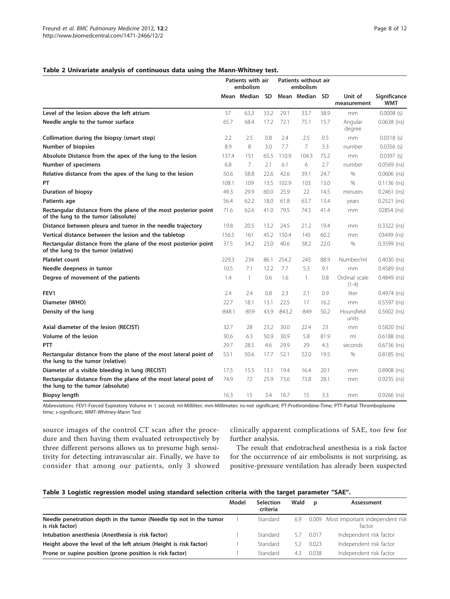<span id="page-7-0"></span>

|                                                                                                        | Patients with air<br>embolism |                | Patients without air<br>embolism |          |                |      |                          |                            |
|--------------------------------------------------------------------------------------------------------|-------------------------------|----------------|----------------------------------|----------|----------------|------|--------------------------|----------------------------|
|                                                                                                        |                               | Mean Median SD |                                  |          | Mean Median SD |      | Unit of<br>measurement   | Significance<br><b>WMT</b> |
| Level of the lesion above the left atrium                                                              | 57                            | 63,3           | 33.2                             | 29.1     | 33.7           | 38.9 | mm                       | $0.0008$ (s)               |
| Needle angle to the tumor surface                                                                      | 65.7                          | 68.4           | 17.2                             | 72.1     | 75.1           | 15.7 | Angular<br>degree        | $0.0638$ (ns)              |
| Collimation during the biopsy (smart step)                                                             | 2.2                           | 2.5            | 0.8                              | 2.4      | 2.5            | 0.5  | mm                       | $0.0318$ (s)               |
| <b>Number of biopsies</b>                                                                              | 8.9                           | 8              | 3.0                              | 7.7      | $\overline{7}$ | 3.3  | number                   | $0.0356$ (s)               |
| Absolute Distance from the apex of the lung to the lesion                                              | 137.4                         | 151            | 65.5                             | 110.9    | 104.3          | 75.2 | mm                       | $0.0397$ (s)               |
| Number of specimens                                                                                    | 6.8                           | $\overline{7}$ | 2.1                              | 6.1      | 6              | 2.7  | number                   | $0.0569$ (ns)              |
| Relative distance from the apex of the lung to the lesion                                              | 50.6                          | 58.8           | 22.6                             | 42.6     | 39.1           | 24.7 | $\%$                     | $0.0606$ (ns)              |
| PT                                                                                                     | 108.1                         | 109            | 13.5                             | 102.9    | 103            | 13.0 | %                        | $0.1136$ (ns)              |
| Duration of biopsy                                                                                     | 49.3                          | 29.9           | 60.0                             | 25.9     | 22             | 14.5 | minutes                  | $0.2461$ (ns)              |
| Patients age                                                                                           | 56.4                          | 62.2           | 18.0                             | 61.8     | 63.7           | 13.4 | years                    | $0.2521$ (ns)              |
| Rectangular distance from the plane of the most posterior point<br>of the lung to the tumor (absolute) | 71.6                          | 62.6           | 41.0                             | 79.5     | 74.5           | 41.4 | mm                       | 02854 (ns)                 |
| Distance between pleura and tumor in the needle trajectory                                             | 19.8                          | 20.5           | 13.2                             | 24.5     | 21.2           | 19.4 | mm                       | $0.3322$ (ns)              |
| Vertical distance between the lesion and the tabletop                                                  | 156.5                         | 161            | 45.2                             | 150.4    | 145            | 60.2 | mm                       | 03499 (ns)                 |
| Rectangular distance from the plane of the most posterior point<br>of the lung to the tumor (relative) | 37.5                          | 34.2           | 23.0                             | 40.6     | 38.2           | 22.0 | $\%$                     | $0.3599$ (ns)              |
| <b>Platelet count</b>                                                                                  | 229.3                         | 234            | 86.1                             | 254.2    | 243            | 88.9 | Number/ml                | $0.4030$ (ns)              |
| Needle deepness in tumor                                                                               | 10.5                          | 7.1            | 12.2                             | 7.7      | 5.3            | 9.1  | mm                       | $0.4589$ (ns)              |
| Degree of movement of the patients                                                                     | 1.4                           | $\mathbf{1}$   | 0.6                              | 1.6      | $\mathbf{1}$   | 0.8  | Ordinal scale<br>$(1-4)$ | $0.4849$ (ns)              |
| FEV1                                                                                                   | 2.4                           | 2.4            | 0.8                              | 2.3      | 2.1            | 0.9  | liter                    | $0.4974$ (ns)              |
| Diameter (WHO)                                                                                         | 22.7                          | 18.1           | 13.1                             | 22.5     | 17             | 16.2 | mm                       | $0.5597$ (ns)              |
| Density of the lung                                                                                    | $-848.1$                      | $-859$         | 43.9                             | $-843.2$ | $-849$         | 50.2 | Hounsfield<br>units      | $0.5602$ (ns)              |
| Axial diameter of the lesion (RECIST)                                                                  | 32.7                          | 28             | 23.2                             | 30.0     | 22.4           | 23   | mm                       | $0.5820$ (ns)              |
| Volume of the lesion                                                                                   | 30.6                          | 6.3            | 50.9                             | 30.9     | 5.8            | 81.9 | ml                       | $0.6188$ (ns)              |
| <b>PTT</b>                                                                                             | 29.7                          | 28.5           | 4.6                              | 29.9     | 29             | 4.3  | seconds                  | $0.6736$ (ns)              |
| Rectangular distance from the plane of the most lateral point of<br>the lung to the tumor (relative)   | 53.1                          | 50.6           | 17.7                             | 52.1     | 52.0           | 19.5 | %                        | $0.8185$ (ns)              |
| Diameter of a visible bleeding in lung (RECIST)                                                        | 17.5                          | 15.5           | 13.1                             | 19.4     | 16.4           | 20.1 | mm                       | $0.8908$ (ns)              |
| Rectangular distance from the plane of the most lateral point of<br>the lung to the tumor (absolute)   | 74,9                          | 72             | 25.9                             | 73.6     | 73.8           | 28.1 | mm                       | $0.9235$ (ns)              |
| <b>Biopsy length</b>                                                                                   | 16.3                          | 15             | 3.4                              | 16.7     | 15             | 3.3  | mm                       | $0.9266$ (ns)              |

Abbreviations: FEV1-Forced Expiratory Volume in 1 second; ml-Milliliter; mm-Millimeter; ns-not significant; PT-Prothrombine-Time; PTT-Partial Thromboplasine time; s-significant; WMT-Whitney-Mann Test

source images of the control CT scan after the procedure and then having them evaluated retrospectively by three different persons allows us to presume high sensitivity for detecting intravascular air. Finally, we have to consider that among our patients, only 3 showed clinically apparent complications of SAE, too few for further analysis.

The result that endotracheal anesthesia is a risk factor for the occurrence of air embolisms is not surprising, as positive-pressure ventilation has already been suspected

| Table 3 Logistic regression model using standard selection criteria with the target parameter "SAE". |
|------------------------------------------------------------------------------------------------------|
|------------------------------------------------------------------------------------------------------|

|                                                                                       | Model | <b>Selection</b><br>criteria | Wald | D     | Assessment                                      |
|---------------------------------------------------------------------------------------|-------|------------------------------|------|-------|-------------------------------------------------|
| Needle penetration depth in the tumor (Needle tip not in the tumor<br>is risk factor) |       | Standard                     | 6.9  |       | 0.009 Most important independent risk<br>factor |
| Intubation anesthesia (Anesthesia is risk factor)                                     |       | Standard                     | 57   | 0017  | Independent risk factor                         |
| Height above the level of the left atrium (Height is risk factor)                     |       | Standard                     | 52   | 0.023 | Independent risk factor                         |
| Prone or supine position (prone position is risk factor)                              |       | Standard                     | 43   | 0038  | Independent risk factor                         |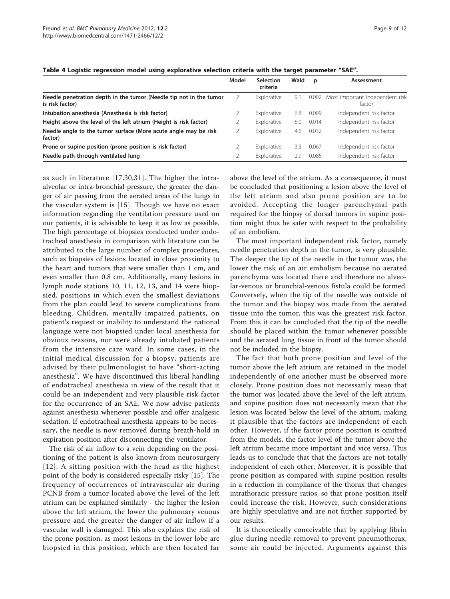<span id="page-8-0"></span>

|  |  | Table 4 Logistic regression model using explorative selection criteria with the target parameter "SAE". |  |
|--|--|---------------------------------------------------------------------------------------------------------|--|
|--|--|---------------------------------------------------------------------------------------------------------|--|

|                                                                                       | Model | <b>Selection</b><br>criteria | Wald | p     | Assessment                                |
|---------------------------------------------------------------------------------------|-------|------------------------------|------|-------|-------------------------------------------|
| Needle penetration depth in the tumor (Needle tip not in the tumor<br>is risk factor) |       | Explorative                  | 9.1  | 0.002 | Most important independent risk<br>factor |
| Intubation anesthesia (Anesthesia is risk factor)                                     |       | Explorative                  | 6.8  | 0.009 | Independent risk factor                   |
| Height above the level of the left atrium (Height is risk factor)                     |       | Explorative                  | 6.0  | 0.014 | Independent risk factor                   |
| Needle angle to the tumor surface (More acute angle may be risk<br>factor)            |       | Explorative                  | 4.6  | 0.032 | Independent risk factor                   |
| Prone or supine position (prone position is risk factor)                              |       | Explorative                  | 3.3  | 0.067 | Independent risk factor                   |
| Needle path through ventilated lung                                                   |       | Explorative                  | 2.9  | 0.085 | Independent risk factor                   |

as such in literature [[17](#page-10-0),[30,31\]](#page-11-0). The higher the intraalveolar or intra-bronchial pressure, the greater the danger of air passing from the aerated areas of the lungs to the vascular system is [[15](#page-10-0)]. Though we have no exact information regarding the ventilation pressure used on our patients, it is advisable to keep it as low as possible. The high percentage of biopsies conducted under endotracheal anesthesia in comparison with literature can be attributed to the large number of complex procedures, such as biopsies of lesions located in close proximity to the heart and tumors that were smaller than 1 cm, and even smaller than 0.8 cm. Additionally, many lesions in lymph node stations 10, 11, 12, 13, and 14 were biopsied, positions in which even the smallest deviations from the plan could lead to severe complications from bleeding. Children, mentally impaired patients, on patient's request or inability to understand the national language were not biopsied under local anesthesia for obvious reasons, nor were already intubated patients from the intensive care ward. In some cases, in the initial medical discussion for a biopsy, patients are advised by their pulmonologist to have "short-acting anesthesia". We have discontinued this liberal handling of endotracheal anesthesia in view of the result that it could be an independent and very plausible risk factor for the occurrence of an SAE. We now advise patients against anesthesia whenever possible and offer analgesic sedation. If endotracheal anesthesia appears to be necessary, the needle is now removed during breath-hold in expiration position after disconnecting the ventilator.

The risk of air inflow to a vein depending on the positioning of the patient is also known from neurosurgery [[12\]](#page-10-0). A sitting position with the head as the highest point of the body is considered especially risky [\[15\]](#page-10-0). The frequency of occurrences of intravascular air during PCNB from a tumor located above the level of the left atrium can be explained similarly - the higher the lesion above the left atrium, the lower the pulmonary venous pressure and the greater the danger of air inflow if a vascular wall is damaged. This also explains the risk of the prone position, as most lesions in the lower lobe are biopsied in this position, which are then located far

above the level of the atrium. As a consequence, it must be concluded that positioning a lesion above the level of the left atrium and also prone position are to be avoided. Accepting the longer parenchymal path required for the biopsy of dorsal tumors in supine position might thus be safer with respect to the probability of an embolism.

The most important independent risk factor, namely needle penetration depth in the tumor, is very plausible. The deeper the tip of the needle in the tumor was, the lower the risk of an air embolism because no aerated parenchyma was located there and therefore no alveolar-venous or bronchial-venous fistula could be formed. Conversely, when the tip of the needle was outside of the tumor and the biopsy was made from the aerated tissue into the tumor, this was the greatest risk factor. From this it can be concluded that the tip of the needle should be placed within the tumor whenever possible and the aerated lung tissue in front of the tumor should not be included in the biopsy.

The fact that both prone position and level of the tumor above the left atrium are retained in the model independently of one another must be observed more closely. Prone position does not necessarily mean that the tumor was located above the level of the left atrium, and supine position does not necessarily mean that the lesion was located below the level of the atrium, making it plausible that the factors are independent of each other. However, if the factor prone position is omitted from the models, the factor level of the tumor above the left atrium became more important and vice versa. This leads us to conclude that that the factors are not totally independent of each other. Moreover, it is possible that prone position as compared with supine position results in a reduction in compliance of the thorax that changes intrathoracic pressure ratios, so that prone position itself could increase the risk. However, such considerations are highly speculative and are not further supported by our results.

It is theoretically conceivable that by applying fibrin glue during needle removal to prevent pneumothorax, some air could be injected. Arguments against this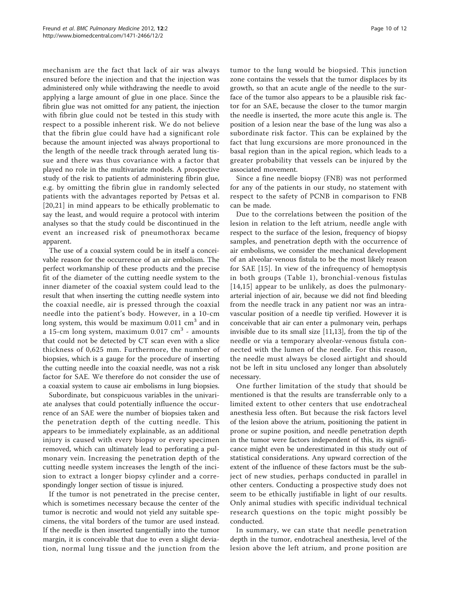mechanism are the fact that lack of air was always ensured before the injection and that the injection was administered only while withdrawing the needle to avoid applying a large amount of glue in one place. Since the fibrin glue was not omitted for any patient, the injection with fibrin glue could not be tested in this study with respect to a possible inherent risk. We do not believe that the fibrin glue could have had a significant role because the amount injected was always proportional to the length of the needle track through aerated lung tissue and there was thus covariance with a factor that played no role in the multivariate models. A prospective study of the risk to patients of administering fibrin glue, e.g. by omitting the fibrin glue in randomly selected patients with the advantages reported by Petsas et al. [[20](#page-10-0),[21\]](#page-10-0) in mind appears to be ethically problematic to say the least, and would require a protocol with interim analyses so that the study could be discontinued in the event an increased risk of pneumothorax became apparent.

The use of a coaxial system could be in itself a conceivable reason for the occurrence of an air embolism. The perfect workmanship of these products and the precise fit of the diameter of the cutting needle system to the inner diameter of the coaxial system could lead to the result that when inserting the cutting needle system into the coaxial needle, air is pressed through the coaxial needle into the patient's body. However, in a 10-cm long system, this would be maximum  $0.011 \text{ cm}^3$  and in a 15-cm long system, maximum  $0.017 \text{ cm}^3$  - amounts that could not be detected by CT scan even with a slice thickness of 0,625 mm. Furthermore, the number of biopsies, which is a gauge for the procedure of inserting the cutting needle into the coaxial needle, was not a risk factor for SAE. We therefore do not consider the use of a coaxial system to cause air embolisms in lung biopsies.

Subordinate, but conspicuous variables in the univariate analyses that could potentially influence the occurrence of an SAE were the number of biopsies taken and the penetration depth of the cutting needle. This appears to be immediately explainable, as an additional injury is caused with every biopsy or every specimen removed, which can ultimately lead to perforating a pulmonary vein. Increasing the penetration depth of the cutting needle system increases the length of the incision to extract a longer biopsy cylinder and a correspondingly longer section of tissue is injured.

If the tumor is not penetrated in the precise center, which is sometimes necessary because the center of the tumor is necrotic and would not yield any suitable specimens, the vital borders of the tumor are used instead. If the needle is then inserted tangentially into the tumor margin, it is conceivable that due to even a slight deviation, normal lung tissue and the junction from the tumor to the lung would be biopsied. This junction zone contains the vessels that the tumor displaces by its growth, so that an acute angle of the needle to the surface of the tumor also appears to be a plausible risk factor for an SAE, because the closer to the tumor margin the needle is inserted, the more acute this angle is. The position of a lesion near the base of the lung was also a subordinate risk factor. This can be explained by the fact that lung excursions are more pronounced in the basal region than in the apical region, which leads to a greater probability that vessels can be injured by the associated movement.

Since a fine needle biopsy (FNB) was not performed for any of the patients in our study, no statement with respect to the safety of PCNB in comparison to FNB can be made.

Due to the correlations between the position of the lesion in relation to the left atrium, needle angle with respect to the surface of the lesion, frequency of biopsy samples, and penetration depth with the occurrence of air embolisms, we consider the mechanical development of an alveolar-venous fistula to be the most likely reason for SAE [[15\]](#page-10-0). In view of the infrequency of hemoptysis in both groups (Table [1\)](#page-6-0), bronchial-venous fistulas [[14](#page-10-0),[15](#page-10-0)] appear to be unlikely, as does the pulmonaryarterial injection of air, because we did not find bleeding from the needle track in any patient nor was an intravascular position of a needle tip verified. However it is conceivable that air can enter a pulmonary vein, perhaps invisible due to its small size [\[11,13](#page-10-0)], from the tip of the needle or via a temporary alveolar-venous fistula connected with the lumen of the needle. For this reason, the needle must always be closed airtight and should not be left in situ unclosed any longer than absolutely necessary.

One further limitation of the study that should be mentioned is that the results are transferrable only to a limited extent to other centers that use endotracheal anesthesia less often. But because the risk factors level of the lesion above the atrium, positioning the patient in prone or supine position, and needle penetration depth in the tumor were factors independent of this, its significance might even be underestimated in this study out of statistical considerations. Any upward correction of the extent of the influence of these factors must be the subject of new studies, perhaps conducted in parallel in other centers. Conducting a prospective study does not seem to be ethically justifiable in light of our results. Only animal studies with specific individual technical research questions on the topic might possibly be conducted.

In summary, we can state that needle penetration depth in the tumor, endotracheal anesthesia, level of the lesion above the left atrium, and prone position are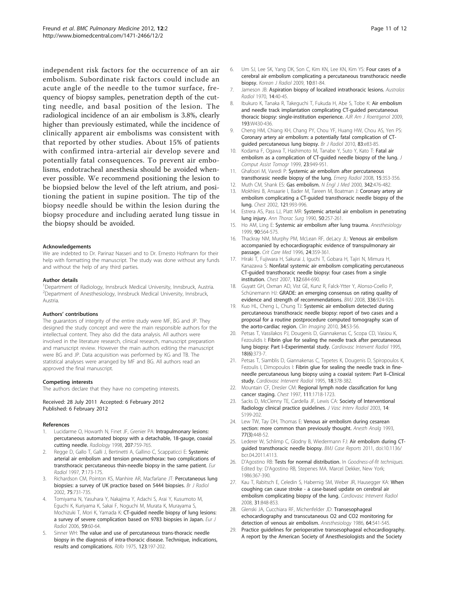<span id="page-10-0"></span>independent risk factors for the occurrence of an air embolism. Subordinate risk factors could include an acute angle of the needle to the tumor surface, frequency of biopsy samples, penetration depth of the cutting needle, and basal position of the lesion. The radiological incidence of an air embolism is 3.8%, clearly higher than previously estimated, while the incidence of clinically apparent air embolisms was consistent with that reported by other studies. About 15% of patients with confirmed intra-arterial air develop severe and potentially fatal consequences. To prevent air embolisms, endotracheal anesthesia should be avoided whenever possible. We recommend positioning the lesion to be biopsied below the level of the left atrium, and positioning the patient in supine position. The tip of the biopsy needle should be within the lesion during the biopsy procedure and including aerated lung tissue in the biopsy should be avoided.

#### Acknowledgements

We are indebted to Dr. Parinaz Nasseri and to Dr. Ernesto Hofmann for their help with formatting the manuscript. The study was done without any funds and without the help of any third parties.

#### Author details

<sup>1</sup>Department of Radiology, Innsbruck Medical University, Innsbruck, Austria. 2 Department of Anesthesiology, Innsbruck Medical University, Innsbruck, Austria.

#### Authors' contributions

The guarantors of integrity of the entire study were MF, BG and JP. They designed the study concept and were the main responsible authors for the intellectual content. They also did the data analysis. All authors were involved in the literature research, clinical research, manuscript preparation and manuscript review. However the main authors editing the manuscript were BG and JP. Data acquisition was performed by KG and TB. The statistical analyses were arranged by MF and BG. All authors read an approved the final manuscript.

#### Competing interests

The authors declare that they have no competing interests.

#### Received: 28 July 2011 Accepted: 6 February 2012 Published: 6 February 2012

#### References

- 1. Lucidarme O, Howarth N, Finet JF, Grenier PA: [Intrapulmonary lesions:](http://www.ncbi.nlm.nih.gov/pubmed/9609901?dopt=Abstract) [percutaneous automated biopsy with a detachable, 18-gauge, coaxial](http://www.ncbi.nlm.nih.gov/pubmed/9609901?dopt=Abstract) [cutting needle.](http://www.ncbi.nlm.nih.gov/pubmed/9609901?dopt=Abstract) Radiology 1998, 207:759-765.
- Regge D, Gallo T, Galli J, Bertinetti A, Gallino C, Scappaticci E: [Systemic](http://www.ncbi.nlm.nih.gov/pubmed/9038109?dopt=Abstract) [arterial air embolism and tension pneumothorax: two complications of](http://www.ncbi.nlm.nih.gov/pubmed/9038109?dopt=Abstract) [transthoracic percutaneous thin-needle biopsy in the same patient.](http://www.ncbi.nlm.nih.gov/pubmed/9038109?dopt=Abstract) Eur Radiol 1997, 7:173-175.
- Richardson CM, Pointon KS, Manhire AR, Macfarlane JT: [Percutaneous lung](http://www.ncbi.nlm.nih.gov/pubmed/12200241?dopt=Abstract) [biopsies: a survey of UK practice based on 5444 biopsies.](http://www.ncbi.nlm.nih.gov/pubmed/12200241?dopt=Abstract) Br J Radiol 2002, 75:731-735.
- 4. Tomiyama N, Yasuhara Y, Nakajima Y, Adachi S, Arai Y, Kusumoto M, Eguchi K, Kuriyama K, Sakai F, Noguchi M, Murata K, Murayama S, Mochizuki T, Mori K, Yamada K: [CT-guided needle biopsy of lung lesions:](http://www.ncbi.nlm.nih.gov/pubmed/16530369?dopt=Abstract) [a survey of severe complication based on 9783 biopsies in Japan.](http://www.ncbi.nlm.nih.gov/pubmed/16530369?dopt=Abstract) Eur J Radiol 2006, 59:60-64.
- Sinner WH: [The value and use of percutaneous trans-thoracic needle](http://www.ncbi.nlm.nih.gov/pubmed/22324055?dopt=Abstract) [biopsy in the diagnosis of intra-thoracic disease. Technique, indications,](http://www.ncbi.nlm.nih.gov/pubmed/22324055?dopt=Abstract) [results and complications.](http://www.ncbi.nlm.nih.gov/pubmed/22324055?dopt=Abstract) Röfo 1975, 123:197-202.
- 6. Um SJ, Lee SK, Yang DK, Son C, Kim KN, Lee KN, Kim YS: [Four cases of a](http://www.ncbi.nlm.nih.gov/pubmed/19182507?dopt=Abstract) [cerebral air embolism complicating a percutaneous transthoracic needle](http://www.ncbi.nlm.nih.gov/pubmed/19182507?dopt=Abstract) [biopsy.](http://www.ncbi.nlm.nih.gov/pubmed/19182507?dopt=Abstract) Korean J Radiol 2009, 10:81-84.
- 7. Jameson JB: [Aspiration biopsy of localized intrathoracic lesions.](http://www.ncbi.nlm.nih.gov/pubmed/5525081?dopt=Abstract) Australas Radiol 1970, 14:40-45.
- 8. Ibukuro K, Tanaka R, Takeguchi T, Fukuda H, Abe S, Tobe K: [Air embolism](http://www.ncbi.nlm.nih.gov/pubmed/19843723?dopt=Abstract) [and needle track implantation complicating CT-guided percutaneous](http://www.ncbi.nlm.nih.gov/pubmed/19843723?dopt=Abstract) [thoracic biopsy: single-institution experience.](http://www.ncbi.nlm.nih.gov/pubmed/19843723?dopt=Abstract) AJR Am J Roentgenol 2009, 193:W430-436.
- 9. Cheng HM, Chiang KH, Chang PY, Chou YF, Huang HW, Chou AS, Yen PS: [Coronary artery air embolism: a potentially fatal complication of CT](http://www.ncbi.nlm.nih.gov/pubmed/20335438?dopt=Abstract)[guided percutaneous lung biopsy.](http://www.ncbi.nlm.nih.gov/pubmed/20335438?dopt=Abstract) Br J Radiol 2010, 83:e83-85.
- 10. Kodama F, Ogawa T, Hashimoto M, Tanabe Y, Suto Y, Kato T: [Fatal air](http://www.ncbi.nlm.nih.gov/pubmed/10589573?dopt=Abstract) [embolism as a complication of CT-guided needle biopsy of the lung.](http://www.ncbi.nlm.nih.gov/pubmed/10589573?dopt=Abstract) J Comput Assist Tomogr 1999, 23:949-951.
- 11. Ghafoori M, Varedi P: [Systemic air embolism after percutaneous](http://www.ncbi.nlm.nih.gov/pubmed/18040731?dopt=Abstract) [transthorasic needle biopsy of the lung.](http://www.ncbi.nlm.nih.gov/pubmed/18040731?dopt=Abstract) Emerg Radiol 2008, 15:353-356.
- 12. Muth CM, Shank ES: [Gas embolism.](http://www.ncbi.nlm.nih.gov/pubmed/10675429?dopt=Abstract) N Engl J Med 2000, 342:476-482. 13. Mokhlesi B, Ansaarie I, Bader M, Tareen M, Boatman J: [Coronary artery air](http://www.ncbi.nlm.nih.gov/pubmed/11888990?dopt=Abstract) [embolism complicating a CT-guided transthoracic needle biopsy of the](http://www.ncbi.nlm.nih.gov/pubmed/11888990?dopt=Abstract) [lung.](http://www.ncbi.nlm.nih.gov/pubmed/11888990?dopt=Abstract) Chest 2002, 121:993-996.
- 14. Estrera AS, Pass LJ, Platt MR: [Systemic arterial air embolism in penetrating](http://www.ncbi.nlm.nih.gov/pubmed/2383113?dopt=Abstract) [lung injury.](http://www.ncbi.nlm.nih.gov/pubmed/2383113?dopt=Abstract) Ann Thorac Surg 1990, 50:257-261.
- 15. Ho AM, Ling E: [Systemic air embolism after lung trauma.](http://www.ncbi.nlm.nih.gov/pubmed/9952165?dopt=Abstract) Anesthesiology 1999, 90:564-575.
- 16. Thackray NM, Murphy PM, McLean RF, deLacy JL: [Venous air embolism](http://www.ncbi.nlm.nih.gov/pubmed/8605815?dopt=Abstract) [accompanied by echocardiographic evidence of transpulmonary air](http://www.ncbi.nlm.nih.gov/pubmed/8605815?dopt=Abstract) [passage.](http://www.ncbi.nlm.nih.gov/pubmed/8605815?dopt=Abstract) Crit Care Med 1996, 24:359-361.
- 17. Hiraki T, Fujiwara H, Sakurai J, Iguchi T, Gobara H, Tajiri N, Mimura H, Kanazawa S: [Nonfatal systemic air embolism complicating percutaneous](http://www.ncbi.nlm.nih.gov/pubmed/17699141?dopt=Abstract) [CT-guided transthoracic needle biopsy: four cases from a single](http://www.ncbi.nlm.nih.gov/pubmed/17699141?dopt=Abstract) [institution.](http://www.ncbi.nlm.nih.gov/pubmed/17699141?dopt=Abstract) Chest 2007, 132:684-690.
- 18. Guyatt GH, Oxman AD, Vist GE, Kunz R, Falck-Ytter Y, Alonso-Coello P, Schünemann HJ: [GRADE: an emerging consensus on rating quality of](http://www.ncbi.nlm.nih.gov/pubmed/18436948?dopt=Abstract) [evidence and strength of recommendations.](http://www.ncbi.nlm.nih.gov/pubmed/18436948?dopt=Abstract) BMJ 2008, 336:924-926.
- 19. Kuo HL, Cheng L, Chung TJ: [Systemic air embolism detected during](http://www.ncbi.nlm.nih.gov/pubmed/20122520?dopt=Abstract) [percutaneous transthoracic needle biopsy: report of two cases and a](http://www.ncbi.nlm.nih.gov/pubmed/20122520?dopt=Abstract) [proposal for a routine postprocedure computed tomography scan of](http://www.ncbi.nlm.nih.gov/pubmed/20122520?dopt=Abstract) [the aorto-cardiac region.](http://www.ncbi.nlm.nih.gov/pubmed/20122520?dopt=Abstract) Clin Imaging 2010, 34:53-56.
- 20. Petsas T, Vassilakos PJ, Dougenis D, Giannakenas C, Scopa CD, Vasiou K, Fezoulidis I: [Fibrin glue for sealing the needle track after percutaneous](http://www.ncbi.nlm.nih.gov/pubmed/8591623?dopt=Abstract) lung biopsy: Part I-[Experimental study.](http://www.ncbi.nlm.nih.gov/pubmed/8591623?dopt=Abstract) Cardiovasc Intervent Radiol 1995, 18(6):373-7.
- 21. Petsas T, Siamblis D, Giannakenas C, Tepetes K, Dougenis D, Spiropoulos K, Fezoulis I, Dimopoulos I: [Fibrin glue for sealing the needle track in fine](http://www.ncbi.nlm.nih.gov/pubmed/8591624?dopt=Abstract)[needle percutaneous lung biopsy using a coaxial system: Part II](http://www.ncbi.nlm.nih.gov/pubmed/8591624?dopt=Abstract)–Clinical [study.](http://www.ncbi.nlm.nih.gov/pubmed/8591624?dopt=Abstract) Cardiovasc Intervent Radiol 1995, 18:378-382.
- 22. Mountain CF, Dresler CM: [Regional lymph node classification for lung](http://www.ncbi.nlm.nih.gov/pubmed/9187199?dopt=Abstract) [cancer staging.](http://www.ncbi.nlm.nih.gov/pubmed/9187199?dopt=Abstract) Chest 1997, 111:1718-1723.
- 23. Sacks D, McClenny TE, Cardella JF, Lewis CA: [Society of Interventional](http://www.ncbi.nlm.nih.gov/pubmed/14514818?dopt=Abstract) [Radiology clinical practice guidelines.](http://www.ncbi.nlm.nih.gov/pubmed/14514818?dopt=Abstract) J Vasc Interv Radiol 2003, 14: S199-202.
- 24. Lew TW, Tay DH, Thomas E: [Venous air embolism during cesarean](http://www.ncbi.nlm.nih.gov/pubmed/8368543?dopt=Abstract) [section: more common than previously thought.](http://www.ncbi.nlm.nih.gov/pubmed/8368543?dopt=Abstract) Anesth Analg 1993, 77(3):448-52.
- 25. Lederer W, Schlimp C, Glodny B, Wiedermann FJ: Air embolism during CTguided transthoracic needle biopsy. BMJ Case Reports 2011, doi:10.1136/ bcr.04.2011.4113.
- 26. D'Agostino RB: Tests for normal distribution. In Goodness-of-fit techniques. Edited by: D'Agostino RB, Stepenes MA. Marcel Dekker, New York; 1986:367-390.
- 27. Kau T, Rabitsch E, Celedin S, Habernig SM, Weber JR, Hausegger KA: [When](http://www.ncbi.nlm.nih.gov/pubmed/18398638?dopt=Abstract) [coughing can cause stroke - a case-based update on cerebral air](http://www.ncbi.nlm.nih.gov/pubmed/18398638?dopt=Abstract) embolism [complicating biopsy of the lung.](http://www.ncbi.nlm.nih.gov/pubmed/18398638?dopt=Abstract) Cardiovasc Intervent Radiol 2008, 31:848-853.
- 28. Glenski JA, Cucchiara RF, Michenfelder JD: [Transesophageal](http://www.ncbi.nlm.nih.gov/pubmed/3083724?dopt=Abstract) [echocardiography and transcutaneous O2 and CO2 monitoring for](http://www.ncbi.nlm.nih.gov/pubmed/3083724?dopt=Abstract) [detection of venous air embolism.](http://www.ncbi.nlm.nih.gov/pubmed/3083724?dopt=Abstract) Anesthesiology 1986, 64:541-545.
- 29. Practice guidelines for perioperative transesophageal echocardiography. A report by the American Society of Anesthesiologists and the Society